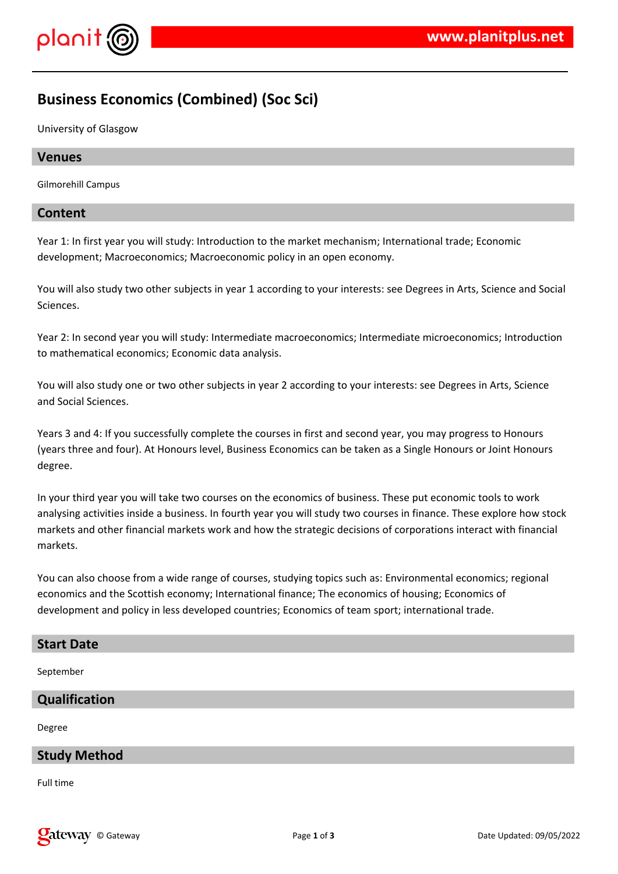

# **Business Economics (Combined) (Soc Sci)**

University of Glasgow

#### **Venues**

Gilmorehill Campus

#### **Content**

Year 1: In first year you will study: Introduction to the market mechanism; International trade; Economic development; Macroeconomics; Macroeconomic policy in an open economy.

You will also study two other subjects in year 1 according to your interests: see Degrees in Arts, Science and Social Sciences.

Year 2: In second year you will study: Intermediate macroeconomics; Intermediate microeconomics; Introduction to mathematical economics; Economic data analysis.

You will also study one or two other subjects in year 2 according to your interests: see Degrees in Arts, Science and Social Sciences.

Years 3 and 4: If you successfully complete the courses in first and second year, you may progress to Honours (years three and four). At Honours level, Business Economics can be taken as a Single Honours or Joint Honours degree.

In your third year you will take two courses on the economics of business. These put economic tools to work analysing activities inside a business. In fourth year you will study two courses in finance. These explore how stock markets and other financial markets work and how the strategic decisions of corporations interact with financial markets.

You can also choose from a wide range of courses, studying topics such as: Environmental economics; regional economics and the Scottish economy; International finance; The economics of housing; Economics of development and policy in less developed countries; Economics of team sport; international trade.

#### **Start Date**

September

#### **Qualification**

Degree

#### **Study Method**

Full time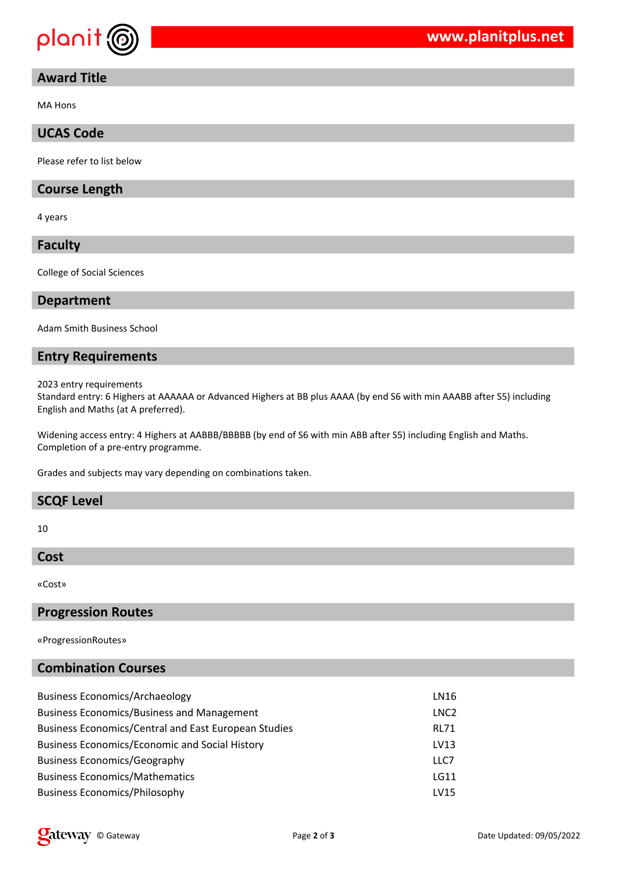

### **Award Title**

MA Hons

# **UCAS Code**

Please refer to list below

#### **Course Length**

4 years

**Faculty**

College of Social Sciences

#### **Department**

Adam Smith Business School

#### **Entry Requirements**

2023 entry requirements

Standard entry: 6 Highers at AAAAAA or Advanced Highers at BB plus AAAA (by end S6 with min AAABB after S5) including English and Maths (at A preferred).

Widening access entry: 4 Highers at AABBB/BBBBB (by end of S6 with min ABB after S5) including English and Maths. Completion of a pre-entry programme.

Grades and subjects may vary depending on combinations taken.

### **SCQF Level**

10

#### **Cost**

«Cost»

#### **Progression Routes**

«ProgressionRoutes»

### **Combination Courses**

| <b>Business Economics/Archaeology</b>                       | LN16             |
|-------------------------------------------------------------|------------------|
| <b>Business Economics/Business and Management</b>           | LNC <sub>2</sub> |
| <b>Business Economics/Central and East European Studies</b> | <b>RL71</b>      |
| <b>Business Economics/Economic and Social History</b>       | LV13             |
| <b>Business Economics/Geography</b>                         | LLC7             |
| <b>Business Economics/Mathematics</b>                       | <b>LG11</b>      |
| <b>Business Economics/Philosophy</b>                        | LV15             |
|                                                             |                  |